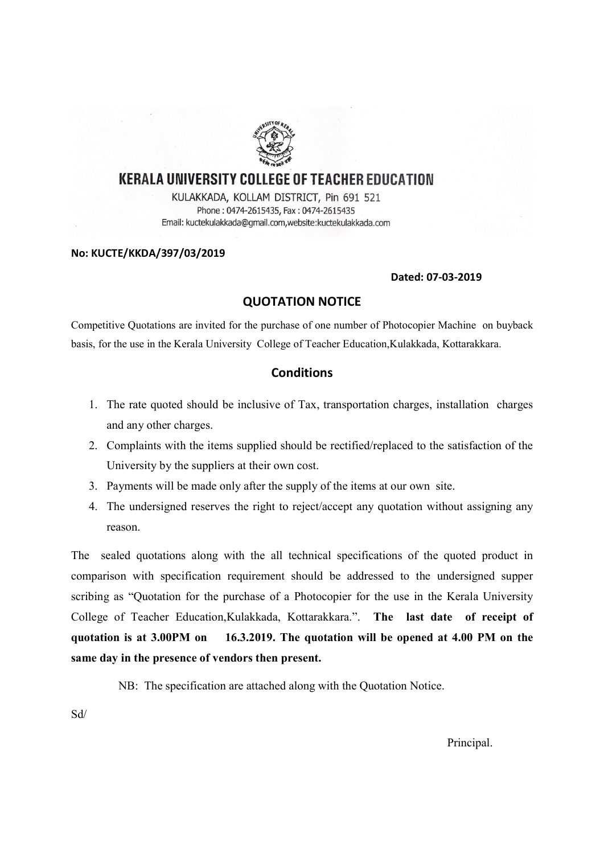

### **KERALA UNIVERSITY COLLEGE OF TEACHER EDUCATION**

KULAKKADA, KOLLAM DISTRICT, Pin 691 521 Phone: 0474-2615435, Fax: 0474-2615435 Email: kuctekulakkada@gmail.com,website:kuctekulakkada.com

#### No: KUCTE/KKDA/397/03/2019

#### Dated: 07-03-2019

#### QUOTATION NOTICE

Competitive Quotations are invited for the purchase of one number of Photocopier Machine on buyback basis, for the use in the Kerala University College of Teacher Education,Kulakkada, Kottarakkara.

#### **Conditions**

- 1. The rate quoted should be inclusive of Tax, transportation charges, installation charges and any other charges.
- 2. Complaints with the items supplied should be rectified/replaced to the satisfaction of the University by the suppliers at their own cost.
- 3. Payments will be made only after the supply of the items at our own site.
- 4. The undersigned reserves the right to reject/accept any quotation without assigning any reason.

The sealed quotations along with the all technical specifications of the quoted product in comparison with specification requirement should be addressed to the undersigned supper scribing as "Quotation for the purchase of a Photocopier for the use in the Kerala University College of Teacher Education,Kulakkada, Kottarakkara.". The last date of receipt of quotation is at 3.00PM on 16.3.2019. The quotation will be opened at 4.00 PM on the same day in the presence of vendors then present.

NB: The specification are attached along with the Quotation Notice.

Sd/

Principal.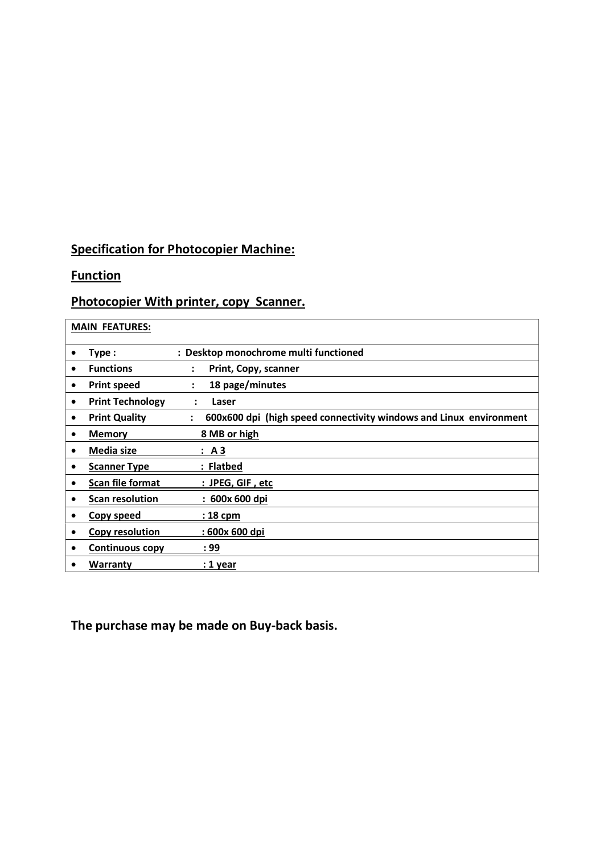## Specification for Photocopier Machine:

## **Function**

## Photocopier With printer, copy Scanner.

| <b>MAIN FEATURES:</b>                |                                                                                            |
|--------------------------------------|--------------------------------------------------------------------------------------------|
| Type:<br>$\bullet$                   | : Desktop monochrome multi functioned                                                      |
| <b>Functions</b><br>$\bullet$        | Print, Copy, scanner<br>$\ddot{\cdot}$                                                     |
| <b>Print speed</b><br>٠              | 18 page/minutes                                                                            |
| <b>Print Technology</b><br>$\bullet$ | Laser                                                                                      |
| <b>Print Quality</b><br>$\bullet$    | 600x600 dpi (high speed connectivity windows and Linux environment<br>$\ddot{\phantom{a}}$ |
| <b>Memory</b><br>٠                   | 8 MB or high                                                                               |
| Media size<br>$\bullet$              | : A3                                                                                       |
| <b>Scanner Type</b><br>٠             | : Flatbed                                                                                  |
| <b>Scan file format</b><br>٠         | : JPEG, GIF, etc                                                                           |
| <b>Scan resolution</b><br>٠          | : 600x 600 dpi                                                                             |
| Copy speed<br>٠                      | : 18 cpm                                                                                   |
| Copy resolution<br>٠                 | : 600x 600 dpi                                                                             |
| <b>Continuous copy</b><br>٠          | : 99                                                                                       |
| Warranty<br>٠                        | : 1 year                                                                                   |

The purchase may be made on Buy-back basis.